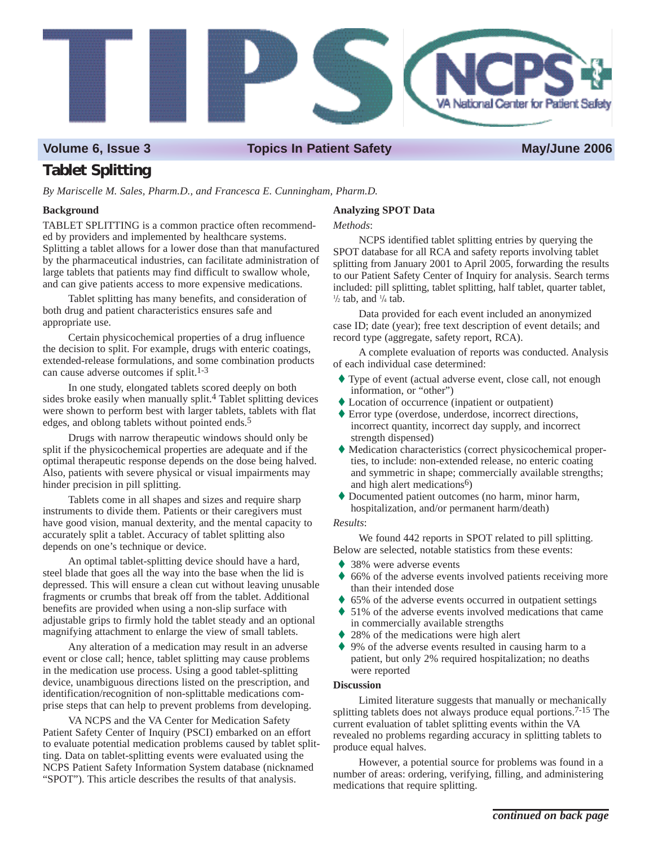

Volume 6, Issue 3 Topics In Patient Safety **May/June 2006** 

# **Tablet Splitting**

*By Mariscelle M. Sales, Pharm.D., and Francesca E. Cunningham, Pharm.D.* 

# **Background**

TABLET SPLITTING is a common practice often recommended by providers and implemented by healthcare systems. Splitting a tablet allows for a lower dose than that manufactured by the pharmaceutical industries, can facilitate administration of large tablets that patients may find difficult to swallow whole, and can give patients access to more expensive medications.

Tablet splitting has many benefits, and consideration of both drug and patient characteristics ensures safe and appropriate use.

Certain physicochemical properties of a drug influence the decision to split. For example, drugs with enteric coatings, extended-release formulations, and some combination products can cause adverse outcomes if split.1-3

In one study, elongated tablets scored deeply on both sides broke easily when manually split.4 Tablet splitting devices were shown to perform best with larger tablets, tablets with flat edges, and oblong tablets without pointed ends.5

Drugs with narrow therapeutic windows should only be split if the physicochemical properties are adequate and if the optimal therapeutic response depends on the dose being halved. Also, patients with severe physical or visual impairments may hinder precision in pill splitting.

Tablets come in all shapes and sizes and require sharp instruments to divide them. Patients or their caregivers must have good vision, manual dexterity, and the mental capacity to accurately split a tablet. Accuracy of tablet splitting also depends on one's technique or device.

An optimal tablet-splitting device should have a hard, steel blade that goes all the way into the base when the lid is depressed. This will ensure a clean cut without leaving unusable fragments or crumbs that break off from the tablet. Additional benefits are provided when using a non-slip surface with adjustable grips to firmly hold the tablet steady and an optional magnifying attachment to enlarge the view of small tablets.

Any alteration of a medication may result in an adverse event or close call; hence, tablet splitting may cause problems in the medication use process. Using a good tablet-splitting device, unambiguous directions listed on the prescription, and identification/recognition of non-splittable medications comprise steps that can help to prevent problems from developing.

VA NCPS and the VA Center for Medication Safety Patient Safety Center of Inquiry (PSCI) embarked on an effort to evaluate potential medication problems caused by tablet splitting. Data on tablet-splitting events were evaluated using the NCPS Patient Safety Information System database (nicknamed "SPOT"). This article describes the results of that analysis.

## **Analyzing SPOT Data**

### *Methods*:

NCPS identified tablet splitting entries by querying the SPOT database for all RCA and safety reports involving tablet splitting from January 2001 to April 2005, forwarding the results to our Patient Safety Center of Inquiry for analysis. Search terms included: pill splitting, tablet splitting, half tablet, quarter tablet,  $\frac{1}{2}$  tab, and  $\frac{1}{4}$  tab.

Data provided for each event included an anonymized case ID; date (year); free text description of event details; and record type (aggregate, safety report, RCA).

A complete evaluation of reports was conducted. Analysis of each individual case determined:

- � Type of event (actual adverse event, close call, not enough information, or "other")
- ◆ Location of occurrence (inpatient or outpatient)
- � Error type (overdose, underdose, incorrect directions, incorrect quantity, incorrect day supply, and incorrect strength dispensed)
- � Medication characteristics (correct physicochemical properties, to include: non-extended release, no enteric coating and symmetric in shape; commercially available strengths; and high alert medications<sup>6</sup>)
- � Documented patient outcomes (no harm, minor harm, hospitalization, and/or permanent harm/death)

### *Results*:

We found 442 reports in SPOT related to pill splitting. Below are selected, notable statistics from these events:

- ♦ 38% were adverse events
- ♦ 66% of the adverse events involved patients receiving more than their intended dose
- ♦ 65% of the adverse events occurred in outpatient settings
- ♦ 51% of the adverse events involved medications that came in commercially available strengths
- ♦ 28% of the medications were high alert
- ♦ 9% of the adverse events resulted in causing harm to a patient, but only 2% required hospitalization; no deaths were reported

## **Discussion**

Limited literature suggests that manually or mechanically splitting tablets does not always produce equal portions.<sup>7-15</sup> The current evaluation of tablet splitting events within the VA revealed no problems regarding accuracy in splitting tablets to produce equal halves.

However, a potential source for problems was found in a number of areas: ordering, verifying, filling, and administering medications that require splitting.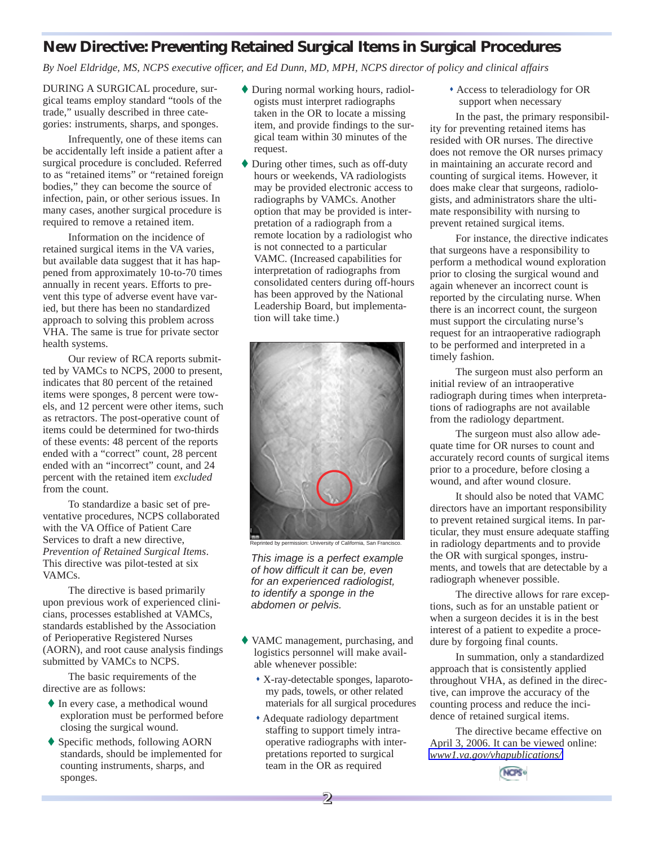# **New Directive: Preventing Retained Surgical Items in Surgical Procedures**

*By Noel Eldridge, MS, NCPS executive officer, and Ed Dunn, MD, MPH, NCPS director of policy and clinical affairs* 

DURING A SURGICAL procedure, surgical teams employ standard "tools of the trade," usually described in three categories: instruments, sharps, and sponges.

Infrequently, one of these items can be accidentally left inside a patient after a surgical procedure is concluded. Referred to as "retained items" or "retained foreign bodies," they can become the source of infection, pain, or other serious issues. In many cases, another surgical procedure is required to remove a retained item.

Information on the incidence of retained surgical items in the VA varies, but available data suggest that it has happened from approximately 10-to-70 times annually in recent years. Efforts to prevent this type of adverse event have varied, but there has been no standardized approach to solving this problem across VHA. The same is true for private sector health systems.

Our review of RCA reports submitted by VAMCs to NCPS, 2000 to present, indicates that 80 percent of the retained items were sponges, 8 percent were towels, and 12 percent were other items, such as retractors. The post-operative count of items could be determined for two-thirds of these events: 48 percent of the reports ended with a "correct" count, 28 percent ended with an "incorrect" count, and 24 percent with the retained item *excluded*  from the count.

To standardize a basic set of preventative procedures, NCPS collaborated with the VA Office of Patient Care Services to draft a new directive, *Prevention of Retained Surgical Items*. This directive was pilot-tested at six VAMCs.

The directive is based primarily upon previous work of experienced clinicians, processes established at VAMCs, standards established by the Association of Perioperative Registered Nurses (AORN), and root cause analysis findings submitted by VAMCs to NCPS.

The basic requirements of the directive are as follows:

- � In every case, a methodical wound exploration must be performed before closing the surgical wound.
- � Specific methods, following AORN standards, should be implemented for counting instruments, sharps, and sponges.
- � During normal working hours, radiologists must interpret radiographs taken in the OR to locate a missing item, and provide findings to the surgical team within 30 minutes of the request.
- � During other times, such as off-duty hours or weekends, VA radiologists may be provided electronic access to radiographs by VAMCs. Another option that may be provided is interpretation of a radiograph from a remote location by a radiologist who is not connected to a particular VAMC. (Increased capabilities for interpretation of radiographs from consolidated centers during off-hours has been approved by the National Leadership Board, but implementation will take time.)





*This image is a perfect example of how difficult it can be, even for an experienced radiologist, to identify a sponge in the abdomen or pelvis.* 

- � VAMC management, purchasing, and logistics personnel will make available whenever possible:
	- � X-ray-detectable sponges, laparotomy pads, towels, or other related materials for all surgical procedures
	- � Adequate radiology department staffing to support timely intraoperative radiographs with interpretations reported to surgical team in the OR as required

� Access to teleradiology for OR support when necessary

In the past, the primary responsibility for preventing retained items has resided with OR nurses. The directive does not remove the OR nurses primacy in maintaining an accurate record and counting of surgical items. However, it does make clear that surgeons, radiologists, and administrators share the ultimate responsibility with nursing to prevent retained surgical items.

For instance, the directive indicates that surgeons have a responsibility to perform a methodical wound exploration prior to closing the surgical wound and again whenever an incorrect count is reported by the circulating nurse. When there is an incorrect count, the surgeon must support the circulating nurse's request for an intraoperative radiograph to be performed and interpreted in a timely fashion.

The surgeon must also perform an initial review of an intraoperative radiograph during times when interpretations of radiographs are not available from the radiology department.

The surgeon must also allow adequate time for OR nurses to count and accurately record counts of surgical items prior to a procedure, before closing a wound, and after wound closure.

It should also be noted that VAMC directors have an important responsibility to prevent retained surgical items. In particular, they must ensure adequate staffing in radiology departments and to provide the OR with surgical sponges, instruments, and towels that are detectable by a radiograph whenever possible.

The directive allows for rare exceptions, such as for an unstable patient or when a surgeon decides it is in the best interest of a patient to expedite a procedure by forgoing final counts.

In summation, only a standardized approach that is consistently applied throughout VHA, as defined in the directive, can improve the accuracy of the counting process and reduce the incidence of retained surgical items.

The directive became effective on April 3, 2006. It can be viewed online: *[www1.va.gov/vhapublications/](http://www1.va.gov/vhapublications/)* 



**2**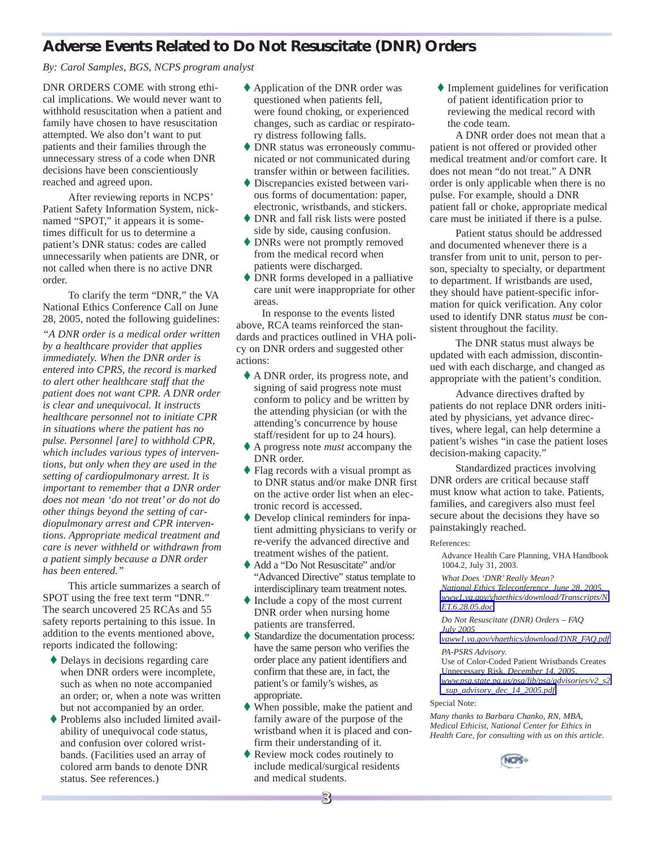# **Adverse Events Related to Do Not Resuscitate (DNR) Orders**

*By: Carol Samples, BGS, NCPS program analyst* 

DNR ORDERS COME with strong ethical implications. We would never want to withhold resuscitation when a patient and family have chosen to have resuscitation attempted. We also don't want to put patients and their families through the unnecessary stress of a code when DNR decisions have been conscientiously reached and agreed upon.

After reviewing reports in NCPS' Patient Safety Information System, nicknamed "SPOT," it appears it is sometimes difficult for us to determine a patient's DNR status: codes are called unnecessarily when patients are DNR, or not called when there is no active DNR order.

To clarify the term "DNR," the VA National Ethics Conference Call on June 28, 2005, noted the following guidelines:

*"A DNR order is a medical order written by a healthcare provider that applies immediately. When the DNR order is entered into CPRS, the record is marked to alert other healthcare staff that the patient does not want CPR. A DNR order is clear and unequivocal. It instructs healthcare personnel not to initiate CPR in situations where the patient has no pulse. Personnel [are] to withhold CPR, which includes various types of interventions, but only when they are used in the setting of cardiopulmonary arrest. It is important to remember that a DNR order does not mean 'do not treat' or do not do other things beyond the setting of cardiopulmonary arrest and CPR interventions. Appropriate medical treatment and care is never withheld or withdrawn from a patient simply because a DNR order has been entered."* 

This article summarizes a search of SPOT using the free text term "DNR." The search uncovered 25 RCAs and 55 safety reports pertaining to this issue. In addition to the events mentioned above, reports indicated the following:

- � Delays in decisions regarding care when DNR orders were incomplete, such as when no note accompanied an order; or, when a note was written but not accompanied by an order.
- � Problems also included limited availability of unequivocal code status, and confusion over colored wristbands. (Facilities used an array of colored arm bands to denote DNR status. See references.)
- � Application of the DNR order was questioned when patients fell, were found choking, or experienced changes, such as cardiac or respiratory distress following falls.
- � DNR status was erroneously communicated or not communicated during transfer within or between facilities.
- � Discrepancies existed between various forms of documentation: paper, electronic, wristbands, and stickers.
- � DNR and fall risk lists were posted side by side, causing confusion.
- � DNRs were not promptly removed from the medical record when patients were discharged.
- � DNR forms developed in a palliative care unit were inappropriate for other areas.

In response to the events listed above, RCA teams reinforced the standards and practices outlined in VHA policy on DNR orders and suggested other actions:

- � A DNR order, its progress note, and signing of said progress note must conform to policy and be written by the attending physician (or with the attending's concurrence by house staff/resident for up to 24 hours).
- � A progress note *must* accompany the DNR order.
- � Flag records with a visual prompt as to DNR status and/or make DNR first on the active order list when an electronic record is accessed.
- � Develop clinical reminders for inpatient admitting physicians to verify or re-verify the advanced directive and treatment wishes of the patient.
- � Add a "Do Not Resuscitate" and/or "Advanced Directive" status template to interdisciplinary team treatment notes.
- � Include a copy of the most current DNR order when nursing home patients are transferred.
- � Standardize the documentation process: have the same person who verifies the order place any patient identifiers and confirm that these are, in fact, the patient's or family's wishes, as appropriate.
- � When possible, make the patient and family aware of the purpose of the wristband when it is placed and confirm their understanding of it.
- ◆ Review mock codes routinely to include medical/surgical residents and medical students.

**3**

� Implement guidelines for verification of patient identification prior to reviewing the medical record with the code team.

A DNR order does not mean that a patient is not offered or provided other medical treatment and/or comfort care. It does not mean "do not treat." A DNR order is only applicable when there is no pulse. For example, should a DNR patient fall or choke, appropriate medical care must be initiated if there is a pulse.

Patient status should be addressed and documented whenever there is a transfer from unit to unit, person to person, specialty to specialty, or department to department. If wristbands are used, they should have patient-specific information for quick verification. Any color used to identify DNR status *must* be consistent throughout the facility.

The DNR status must always be updated with each admission, discontinued with each discharge, and changed as appropriate with the patient's condition.

Advance directives drafted by patients do not replace DNR orders initiated by physicians, yet advance directives, where legal, can help determine a patient's wishes "in case the patient loses decision-making capacity."

Standardized practices involving DNR orders are critical because staff must know what action to take. Patients, families, and caregivers also must feel secure about the decisions they have so painstakingly reached.

#### References:

Advance Health Care Planning, VHA Handbook 1004.2, July 31, 2003.

*What Does 'DNR' Really Mean? National Ethics Teleconference, June 28, 2005. [www1.va.gov/vhaethics/download/Transcripts/N](http://www1.va.gov/vhaethics/download/Transcripts/NET.6.28.05.doc) [ET.6.28.05.doc](http://www1.va.gov/vhaethics/download/Transcripts/NET.6.28.05.doc)*

*Do Not Resuscitate (DNR) Orders – FAQ July 2005*

*[vaww1.va.gov/vhaethics/download/DNR\\_FAQ.pdf](http://vaww1.va.gov/vhaethics/download/DNR_FAQ.pdf) PA-PSRS Advisory.* 

Use of Color-Coded Patient Wristbands Creates Unnecessary Risk, *December 14, 2005, [www.psa.state.pa.us/psa/lib/psa/advisories/v2\\_s2](http://www.psa.state.pa.us/psa/lib/psa/advisories/v2_s2_sup_advisory_dec_14_2005.pdf)  [\\_sup\\_advisory\\_dec\\_14\\_2005.pdf](http://www.psa.state.pa.us/psa/lib/psa/advisories/v2_s2_sup_advisory_dec_14_2005.pdf)* 

#### Special Note:

*Many thanks to Barbara Chanko, RN, MBA, Medical Ethicist, National Center for Ethics in Health Care, for consulting with us on this article*.

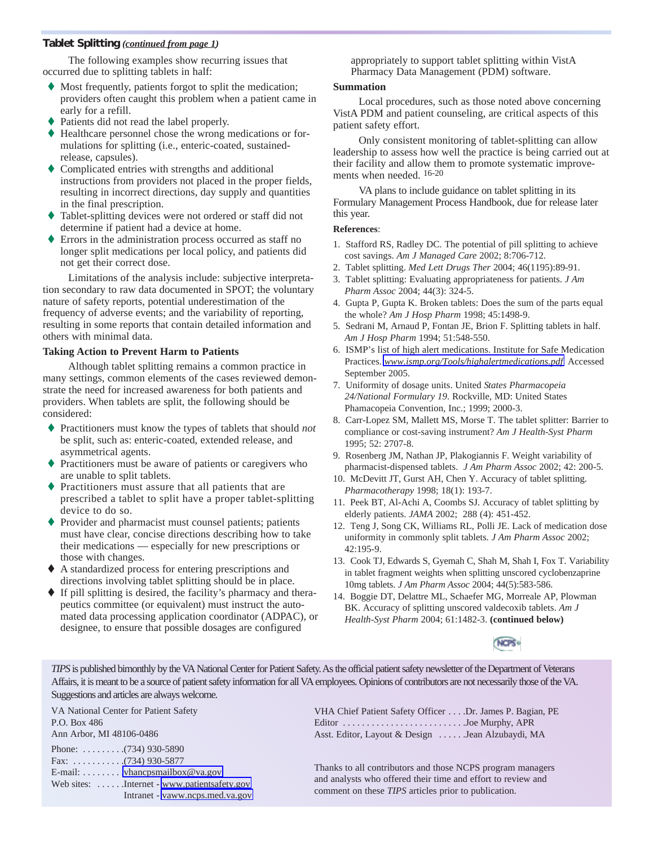### **Tablet Splitting** *(continued from page 1)*

The following examples show recurring issues that occurred due to splitting tablets in half:

- � Most frequently, patients forgot to split the medication; providers often caught this problem when a patient came in early for a refill.
- � Patients did not read the label properly.
- � Healthcare personnel chose the wrong medications or formulations for splitting (i.e., enteric-coated, sustainedrelease, capsules).
- � Complicated entries with strengths and additional instructions from providers not placed in the proper fields, resulting in incorrect directions, day supply and quantities in the final prescription.
- Tablet-splitting devices were not ordered or staff did not determine if patient had a device at home.
- � Errors in the administration process occurred as staff no longer split medications per local policy, and patients did not get their correct dose.

Limitations of the analysis include: subjective interpretation secondary to raw data documented in SPOT; the voluntary nature of safety reports, potential underestimation of the frequency of adverse events; and the variability of reporting, resulting in some reports that contain detailed information and others with minimal data.

### **Taking Action to Prevent Harm to Patients**

Although tablet splitting remains a common practice in many settings, common elements of the cases reviewed demonstrate the need for increased awareness for both patients and providers. When tablets are split, the following should be considered:

- � Practitioners must know the types of tablets that should *not*  be split, such as: enteric-coated, extended release, and asymmetrical agents.
- Practitioners must be aware of patients or caregivers who are unable to split tablets.
- Practitioners must assure that all patients that are prescribed a tablet to split have a proper tablet-splitting device to do so.
- � Provider and pharmacist must counsel patients; patients must have clear, concise directions describing how to take their medications — especially for new prescriptions or those with changes.
- � A standardized process for entering prescriptions and directions involving tablet splitting should be in place.
- � If pill splitting is desired, the facility's pharmacy and therapeutics committee (or equivalent) must instruct the automated data processing application coordinator (ADPAC), or designee, to ensure that possible dosages are configured

appropriately to support tablet splitting within VistA Pharmacy Data Management (PDM) software.

### **Summation**

Local procedures, such as those noted above concerning VistA PDM and patient counseling, are critical aspects of this patient safety effort.

Only consistent monitoring of tablet-splitting can allow leadership to assess how well the practice is being carried out at their facility and allow them to promote systematic improvements when needed. 16-20

VA plans to include guidance on tablet splitting in its Formulary Management Process Handbook, due for release later this year.

### **References**:

- 1. Stafford RS, Radley DC. The potential of pill splitting to achieve cost savings. *Am J Managed Care* 2002; 8:706-712.
- 2. Tablet splitting. *Med Lett Drugs Ther* 2004; 46(1195):89-91.
- 3. Tablet splitting: Evaluating appropriateness for patients. *J Am Pharm Assoc* 2004; 44(3): 324-5.
- 4. Gupta P, Gupta K. Broken tablets: Does the sum of the parts equal the whole? *Am J Hosp Pharm* 1998; 45:1498-9.
- 5. Sedrani M, Arnaud P, Fontan JE, Brion F. Splitting tablets in half. *Am J Hosp Pharm* 1994; 51:548-550.
- 6. ISMP's list of high alert medications. Institute for Safe Medication Practices. *[www.ismp.org/Tools/highalertmedications.pdf](http://www.ismp.org/Tools/highalertmedications.pdf)* Accessed September 2005.
- 7. Uniformity of dosage units. United *States Pharmacopeia 24/National Formulary 19*. Rockville, MD: United States Phamacopeia Convention, Inc.; 1999; 2000-3.
- 8. Carr-Lopez SM, Mallett MS, Morse T. The tablet splitter: Barrier to compliance or cost-saving instrument? *Am J Health-Syst Pharm*  1995; 52: 2707-8.
- 9. Rosenberg JM, Nathan JP, Plakogiannis F. Weight variability of pharmacist-dispensed tablets. *J Am Pharm Assoc* 2002; 42: 200-5.
- 10. McDevitt JT, Gurst AH, Chen Y. Accuracy of tablet splitting. *Pharmacotherapy* 1998; 18(1): 193-7.
- 11. Peek BT, Al-Achi A, Coombs SJ. Accuracy of tablet splitting by elderly patients. *JAMA* 2002; 288 (4): 451-452.
- 12. Teng J, Song CK, Williams RL, Polli JE. Lack of medication dose uniformity in commonly split tablets*. J Am Pharm Assoc* 2002; 42:195-9.
- 13. Cook TJ, Edwards S, Gyemah C, Shah M, Shah I, Fox T. Variability in tablet fragment weights when splitting unscored cyclobenzaprine 10mg tablets. *J Am Pharm Assoc* 2004; 44(5):583-586.
- 14. Boggie DT, Delattre ML, Schaefer MG, Morreale AP, Plowman BK. Accuracy of splitting unscored valdecoxib tablets. *Am J Health-Syst Pharm* 2004; 61:1482-3. **(continued below)**



*TIPS* is published bimonthly by the VA National Center for Patient Safety. As the official patient safety newsletter of the Department of Veterans Affairs, it is meant to be a source of patient safety information for all VA employees. Opinions of contributors are not necessarily those of the VA. Suggestions and articles are always welcome.

VA National Center for Patient Safety P.O. Box 486 Ann Arbor, MI 48106-0486 Phone: .........(734) 930-5890 Fax: . . . . . . . . . . .(734) 930-5877 E-mail: . . . . . . . . [.vhancpsmailbox@va.gov](mailto:vhancpsmailbox@va.gov)  Web sites: ......Internet - www.patientsafety.gov Intranet - [vaww.ncps.med.va.gov](http://vaww.ncps.med.va.gov) 

VHA Chief Patient Safety Officer . . . .Dr. James P. Bagian, PE Editor . . . . . . . . . . . . . . . . . . . . . . . . . .Joe Murphy, APR Asst. Editor, Layout & Design . . . . . .Jean Alzubaydi, MA

Thanks to all contributors and those NCPS program managers and analysts who offered their time and effort to review and comment on these *TIPS* articles prior to publication.